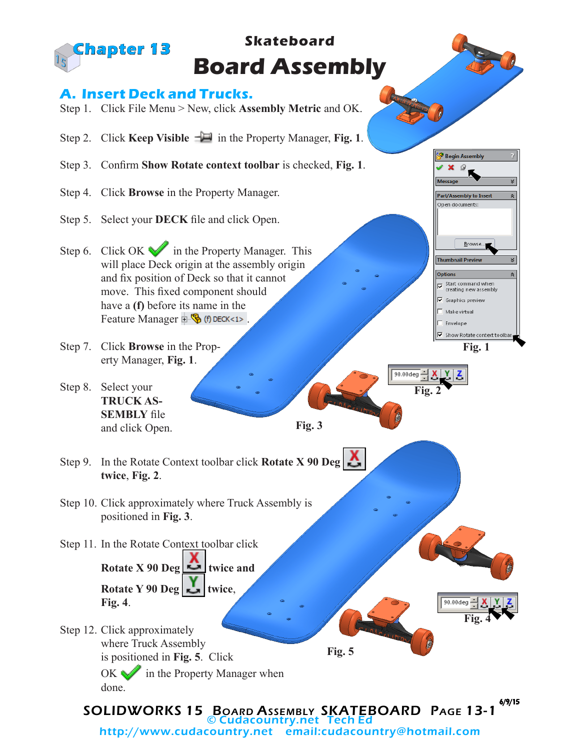

http://www.cudacountry.net email:cudacountry@hotmail.com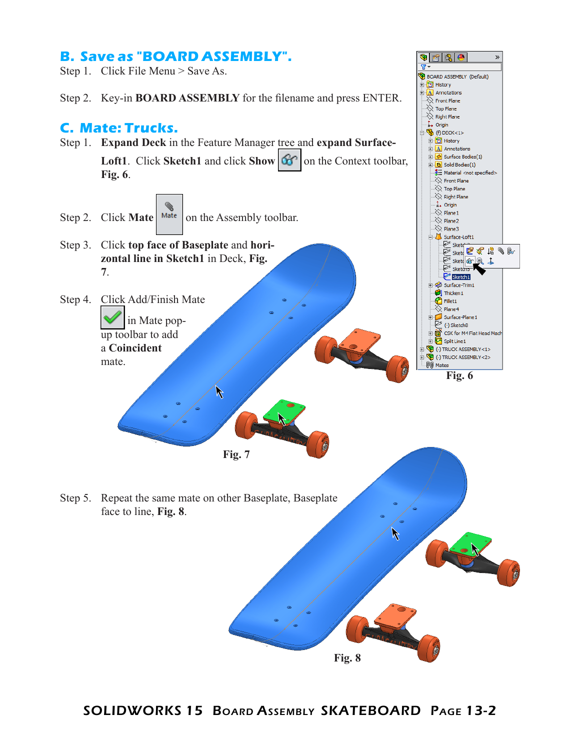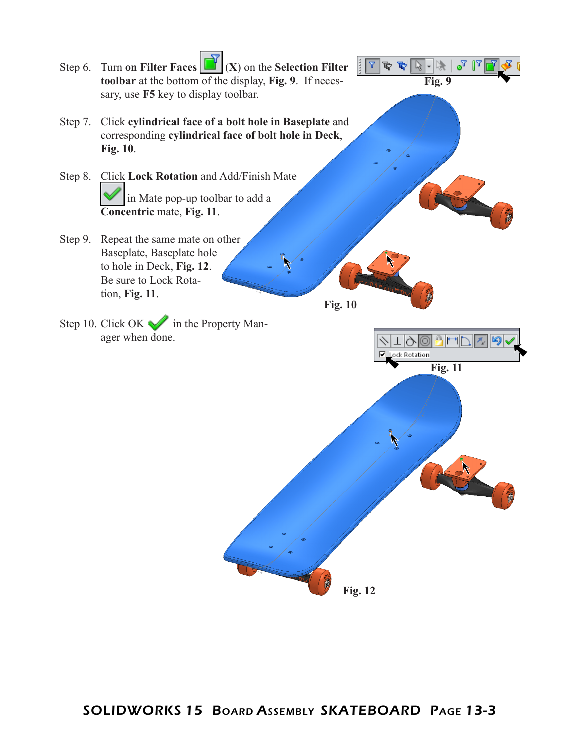